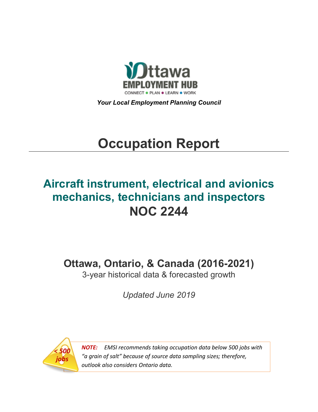

*Your Local Employment Planning Council*

# **Occupation Report**

## **Aircraft instrument, electrical and avionics mechanics, technicians and inspectors NOC 2244**

**Ottawa, Ontario, & Canada (2016-2021)**

3-year historical data & forecasted growth

*Updated June 2019*



*NOTE: EMSI recommends taking occupation data below 500 jobs with "a grain of salt" because of source data sampling sizes; therefore, outlook also considers Ontario data.*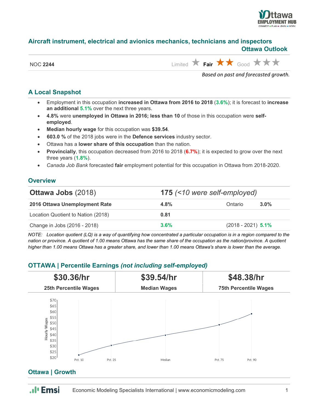

#### **Aircraft instrument, electrical and avionics mechanics, technicians and inspectors Ottawa Outlook**

| <b>NOC 2244</b> |
|-----------------|
|                 |

 $\lim_{k\to\infty}$  **Fair**  $\star$  **Fair**  $\star$  **Cood**  $\star$   $\star$   $\star$ 

*Based on past and forecasted growth.*

## **A Local Snapshot**

- Employment in this occupation **increased in Ottawa from 2016 to 2018** (**3.6%**); it is forecast to **increase an additional 5.1%** over the next three years.
- **4.8%** were **unemployed in Ottawa in 2016; less than 10** of those in this occupation were **selfemployed**.
- **Median hourly wage** for this occupation was **\$39.54**.
- **603.0 %** of the 2018 jobs were in the **Defence services** industry sector.
- Ottawa has a **lower share of this occupation** than the nation.
- **Provincially**, this occupation decreased from 2016 to 2018 (**6.7%**); it is expected to grow over the next three years (**1.8%**).
- *Canada Job Bank* forecasted **fair** employment potential for this occupation in Ottawa from 2018-2020.

## **Overview**

| <b>Ottawa Jobs (2018)</b>          |         | 175 (<10 were self-employed) |                      |  |  |
|------------------------------------|---------|------------------------------|----------------------|--|--|
| 2016 Ottawa Unemployment Rate      | 4.8%    | Ontario                      | $3.0\%$              |  |  |
| Location Quotient to Nation (2018) | 0.81    |                              |                      |  |  |
| Change in Jobs (2016 - 2018)       | $3.6\%$ |                              | $(2018 - 2021)$ 5.1% |  |  |

*NOTE: Location quotient (LQ) is a way of quantifying how concentrated a particular occupation is in a region compared to the nation or province. A quotient of 1.00 means Ottawa has the same share of the occupation as the nation/province. A quotient higher than 1.00 means Ottawa has a greater share, and lower than 1.00 means Ottawa's share is lower than the average.*

## **OTTAWA | Percentile Earnings** *(not including self-employed)*



## **Ottawa | Growth**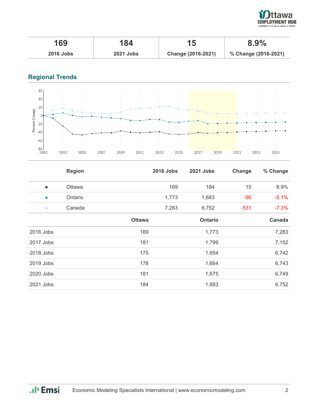

| 169              | 184              |                    | 8.9%                 |
|------------------|------------------|--------------------|----------------------|
| <b>2016 Jobs</b> | <b>2021 Jobs</b> | Change (2016-2021) | % Change (2016-2021) |

## **Regional Trends**



|           | <b>Region</b> |               | <b>2016 Jobs</b> | 2021 Jobs      | Change | % Change |
|-----------|---------------|---------------|------------------|----------------|--------|----------|
| $\bullet$ | Ottawa        |               | 169              | 184            | 15     | 8.9%     |
| $\bullet$ | Ontario       |               | 1,773            | 1,683          | $-90$  | $-5.1%$  |
| $\bullet$ | Canada        |               | 7,283            | 6,752          | $-531$ | $-7.3%$  |
|           |               | <b>Ottawa</b> |                  | <b>Ontario</b> |        | Canada   |
| 2016 Jobs |               | 169           |                  | 1,773          |        | 7,283    |
| 2017 Jobs |               | 181           |                  | 1,799          |        | 7,152    |
| 2018 Jobs |               | 175           |                  | 1,654          |        | 6,742    |
| 2019 Jobs |               | 178           |                  | 1,664          |        | 6,743    |
| 2020 Jobs |               | 181           |                  | 1,675          |        | 6,749    |
| 2021 Jobs |               | 184           |                  | 1,683          |        | 6,752    |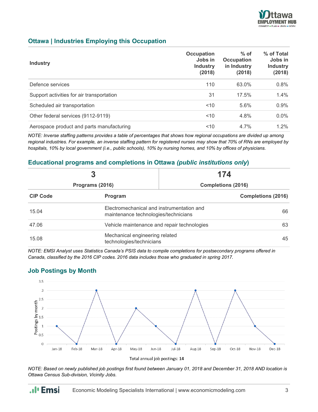

## **Ottawa | Industries Employing this Occupation**

| <b>Industry</b>                           | Occupation<br>Jobs in<br><b>Industry</b><br>(2018) | $%$ of<br><b>Occupation</b><br>in Industry<br>(2018) | % of Total<br>Jobs in<br><b>Industry</b><br>(2018) |
|-------------------------------------------|----------------------------------------------------|------------------------------------------------------|----------------------------------------------------|
| Defence services                          | 110                                                | 63.0%                                                | 0.8%                                               |
| Support activities for air transportation | 31                                                 | 17.5%                                                | $1.4\%$                                            |
| Scheduled air transportation              | ~10                                                | 5.6%                                                 | 0.9%                                               |
| Other federal services (9112-9119)        | $<$ 10                                             | 4.8%                                                 | $0.0\%$                                            |
| Aerospace product and parts manufacturing | < 10                                               | 4.7%                                                 | $1.2\%$                                            |

*NOTE: Inverse staffing patterns provides a table of percentages that shows how regional occupations are divided up among regional industries. For example, an inverse staffing pattern for registered nurses may show that 70% of RNs are employed by hospitals, 10% by local government (i.e., public schools), 10% by nursing homes, and 10% by offices of physicians.*

## **Educational programs and completions in Ottawa** *(public institutions only***)**

|                 |                                                                                   | 174                       |                           |  |
|-----------------|-----------------------------------------------------------------------------------|---------------------------|---------------------------|--|
| Programs (2016) |                                                                                   | <b>Completions (2016)</b> |                           |  |
| <b>CIP Code</b> | Program                                                                           |                           | <b>Completions (2016)</b> |  |
| 15.04           | Electromechanical and instrumentation and<br>maintenance technologies/technicians |                           | 66                        |  |
| 47.06           | Vehicle maintenance and repair technologies<br>63                                 |                           |                           |  |
| 15.08           | Mechanical engineering related<br>technologies/technicians                        |                           | 45                        |  |

*NOTE: EMSI Analyst uses Statistics Canada's PSIS data to compile completions for postsecondary programs offered in Canada, classified by the 2016 CIP codes. 2016 data includes those who graduated in spring 2017.*

## **Job Postings by Month**



Total annual job postings: 14

*NOTE: Based on newly published job postings first found between January 01, 2018 and December 31, 2018 AND location is Ottawa Census Sub-division, Vicinity Jobs.*